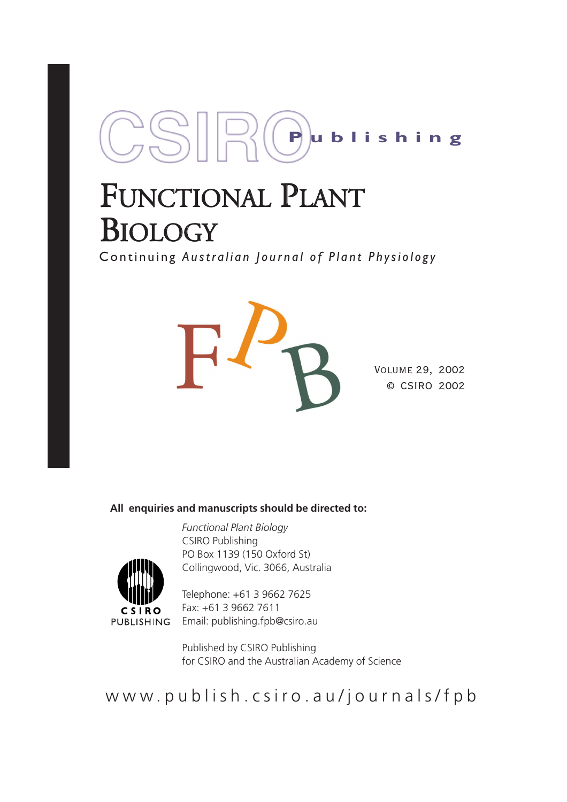# **Publishing**

## FUNCTIONAL PLANT **BIOLOGY**

Continuing *Australian Journal of Plant Physiology*



Volume 29, 2002 © CSIRO 2002

**All enquiries and manuscripts should be directed to:**



*Functional Plant Biology* CSIRO Publishing PO Box 1139 (150 Oxford St) Collingwood, Vic. 3066, Australia

Telephone: +61 3 9662 7625 Fax: +61 3 9662 7611 Email: publishing.fpb@csiro.au

Published by CSIRO Publishing for CSIRO and the Australian Academy of Science

www.publish.csiro.au/journals/fpb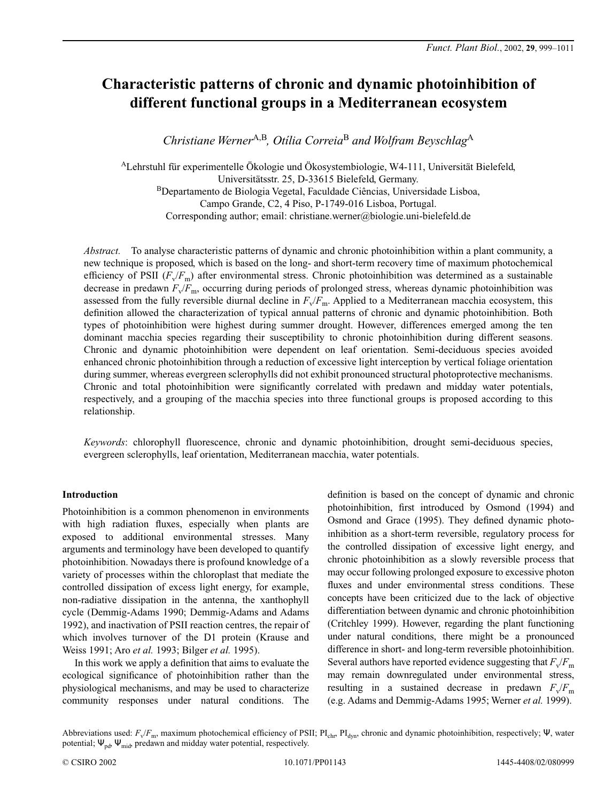### **Characteristic patterns of chronic and dynamic photoinhibition of different functional groups in a Mediterranean ecosystem**

*Christiane Werner*A,B*, Otília Correia*<sup>B</sup> *and Wolfram Beyschlag*<sup>A</sup>

ALehrstuhl für experimentelle Ökologie und Ökosystembiologie, W4-111, Universität Bielefeld, Universitätsstr. 25, D-33615 Bielefeld, Germany. <sup>B</sup>Departamento de Biologia Vegetal, Faculdade Ciências, Universidade Lisboa, Campo Grande, C2, 4 Piso, P-1749-016 Lisboa, Portugal. Corresponding author; email: christiane.werner@biologie.uni-bielefeld.de

*Abstract.* To analyse characteristic patterns of dynamic and chronic photoinhibition within a plant community, a new technique is proposed, which is based on the long- and short-term recovery time of maximum photochemical efficiency of PSII  $(F_v/F_m)$  after environmental stress. Chronic photoinhibition was determined as a sustainable decrease in predawn  $F_v/F_m$ , occurring during periods of prolonged stress, whereas dynamic photoinhibition was assessed from the fully reversible diurnal decline in  $F_v/F_m$ . Applied to a Mediterranean macchia ecosystem, this definition allowed the characterization of typical annual patterns of chronic and dynamic photoinhibition. Both types of photoinhibition were highest during summer drought. However, differences emerged among the ten dominant macchia species regarding their susceptibility to chronic photoinhibition during different seasons. Chronic and dynamic photoinhibition were dependent on leaf orientation. Semi-deciduous species avoided enhanced chronic photoinhibition through a reduction of excessive light interception by vertical foliage orientation during summer, whereas evergreen sclerophylls did not exhibit pronounced structural photoprotective mechanisms. Chronic and total photoinhibition were significantly correlated with predawn and midday water potentials, respectively, and a grouping of the macchia species into three functional groups is proposed according to this relationship.

*Keywords*: chlorophyll fluorescence, chronic and dynamic photoinhibition, drought semi-deciduous species, evergreen sclerophylls, leaf orientation, Mediterranean macchia, water potentials.

#### **Introduction**

Photoinhibition is a common phenomenon in environments with high radiation fluxes, especially when plants are exposed to additional environmental stresses. Many arguments and terminology have been developed to quantify photoinhibition. Nowadays there is profound knowledge of a variety of processes within the chloroplast that mediate the controlled dissipation of excess light energy, for example, non-radiative dissipation in the antenna, the xanthophyll cycle (Demmig-Adams 1990; Demmig-Adams and Adams 1992), and inactivation of PSII reaction centres, the repair of which involves turnover of the D1 protein (Krause and Weiss 1991; Aro *et al.* 1993; Bilger *et al.* 1995).

In this work we apply a definition that aims to evaluate the ecological significance of photoinhibition rather than the physiological mechanisms, and may be used to characterize community responses under natural conditions. The definition is based on the concept of dynamic and chronic photoinhibition, first introduced by Osmond (1994) and Osmond and Grace (1995). They defined dynamic photoinhibition as a short-term reversible, regulatory process for the controlled dissipation of excessive light energy, and chronic photoinhibition as a slowly reversible process that may occur following prolonged exposure to excessive photon fluxes and under environmental stress conditions. These concepts have been criticized due to the lack of objective differentiation between dynamic and chronic photoinhibition (Critchley 1999). However, regarding the plant functioning under natural conditions, there might be a pronounced difference in short- and long-term reversible photoinhibition. Several authors have reported evidence suggesting that  $F_v/F_m$ may remain downregulated under environmental stress, resulting in a sustained decrease in predawn  $F_v/F_m$ (e.g. Adams and Demmig-Adams 1995; Werner *et al.* 1999).

Abbreviations used: *F*<sub>V</sub>/*F*<sub>m</sub>, maximum photochemical efficiency of PSII; PI<sub>chr</sub>, PI<sub>dvn</sub>, chronic and dynamic photoinhibition, respectively; Ψ, water potential;  $\Psi_{\rm pd}$ ,  $\Psi_{\rm mid}$ , predawn and midday water potential, respectively.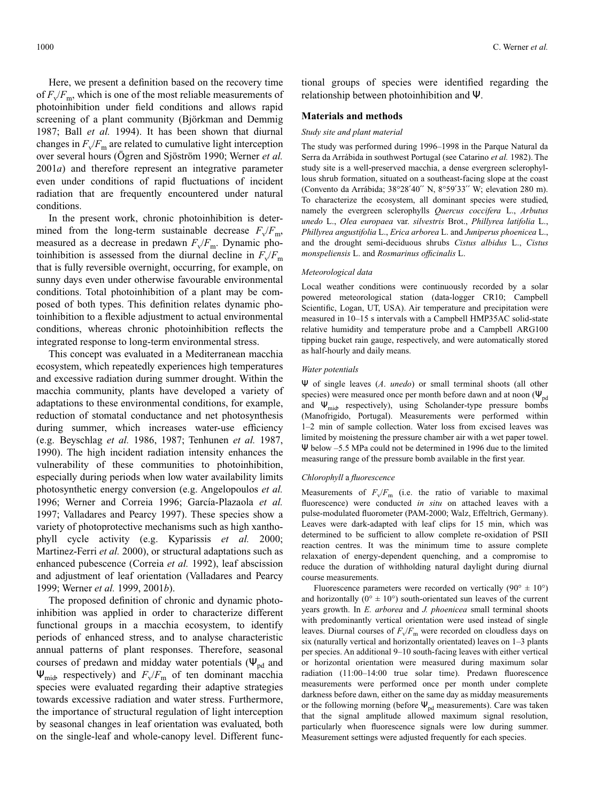Here, we present a definition based on the recovery time of  $F_v/F_m$ , which is one of the most reliable measurements of photoinhibition under field conditions and allows rapid screening of a plant community (Björkman and Demmig 1987; Ball *et al.* 1994). It has been shown that diurnal changes in  $F_v/F_m$  are related to cumulative light interception over several hours (Ögren and Sjöström 1990; Werner *et al.* 2001*a*) and therefore represent an integrative parameter even under conditions of rapid fluctuations of incident radiation that are frequently encountered under natural conditions.

In the present work, chronic photoinhibition is determined from the long-term sustainable decrease  $F_v/F_m$ , measured as a decrease in predawn  $F_v/F_m$ . Dynamic photoinhibition is assessed from the diurnal decline in  $F_v/F_m$ that is fully reversible overnight, occurring, for example, on sunny days even under otherwise favourable environmental conditions. Total photoinhibition of a plant may be composed of both types. This definition relates dynamic photoinhibition to a flexible adjustment to actual environmental conditions, whereas chronic photoinhibition reflects the integrated response to long-term environmental stress.

This concept was evaluated in a Mediterranean macchia ecosystem, which repeatedly experiences high temperatures and excessive radiation during summer drought. Within the macchia community, plants have developed a variety of adaptations to these environmental conditions, for example, reduction of stomatal conductance and net photosynthesis during summer, which increases water-use efficiency (e.g. Beyschlag *et al.* 1986, 1987; Tenhunen *et al.* 1987, 1990). The high incident radiation intensity enhances the vulnerability of these communities to photoinhibition, especially during periods when low water availability limits photosynthetic energy conversion (e.g. Angelopoulos *et al.* 1996; Werner and Correia 1996; García-Plazaola *et al.* 1997; Valladares and Pearcy 1997). These species show a variety of photoprotective mechanisms such as high xanthophyll cycle activity (e.g. Kyparissis *et al.* 2000; Martinez-Ferri *et al.* 2000), or structural adaptations such as enhanced pubescence (Correia *et al.* 1992), leaf abscission and adjustment of leaf orientation (Valladares and Pearcy 1999; Werner *et al.* 1999, 2001*b*).

The proposed definition of chronic and dynamic photoinhibition was applied in order to characterize different functional groups in a macchia ecosystem, to identify periods of enhanced stress, and to analyse characteristic annual patterns of plant responses. Therefore, seasonal courses of predawn and midday water potentials ( $\Psi_{\text{nd}}$  and  $\Psi_{\text{mid}}$  respectively) and  $F_v/F_m$  of ten dominant macchia species were evaluated regarding their adaptive strategies towards excessive radiation and water stress. Furthermore, the importance of structural regulation of light interception by seasonal changes in leaf orientation was evaluated, both on the single-leaf and whole-canopy level. Different functional groups of species were identified regarding the relationship between photoinhibition and Ψ.

#### **Materials and methods**

#### *Study site and plant material*

The study was performed during 1996–1998 in the Parque Natural da Serra da Arrábida in southwest Portugal (see Catarino *et al.* 1982). The study site is a well-preserved macchia, a dense evergreen sclerophyllous shrub formation, situated on a southeast-facing slope at the coast (Convento da Arrábida; 38°28′40′′ N, 8°59′33′′ W; elevation 280 m). To characterize the ecosystem, all dominant species were studied, namely the evergreen sclerophylls *Quercus coccifera* L., *Arbutus unedo* L., *Olea europaea* var. *silvestris* Brot., *Phillyrea latifolia* L., *Phillyrea angustifolia* L., *Erica arborea* L. and *Juniperus phoenicea* L., and the drought semi-deciduous shrubs *Cistus albidus* L., *Cistus monspeliensis* L. and *Rosmarinus officinalis* L.

#### *Meteorological data*

Local weather conditions were continuously recorded by a solar powered meteorological station (data-logger CR10; Campbell Scientific, Logan, UT, USA). Air temperature and precipitation were measured in 10–15 s intervals with a Campbell HMP35AC solid-state relative humidity and temperature probe and a Campbell ARG100 tipping bucket rain gauge, respectively, and were automatically stored as half-hourly and daily means.

#### *Water potentials*

Ψ of single leaves (*A*. *unedo*) or small terminal shoots (all other species) were measured once per month before dawn and at noon  $(\Psi_{\text{nd}})$ and  $\Psi_{mid}$  respectively), using Scholander-type pressure bombs (Manofrigido, Portugal). Measurements were performed within 1–2 min of sample collection. Water loss from excised leaves was limited by moistening the pressure chamber air with a wet paper towel. Ψ below –5.5 MPa could not be determined in 1996 due to the limited measuring range of the pressure bomb available in the first year.

#### *Chlorophyll* a *fluorescence*

Measurements of  $F_v/F_m$  (i.e. the ratio of variable to maximal fluorescence) were conducted *in situ* on attached leaves with a pulse-modulated fluorometer (PAM-2000; Walz, Effeltrich, Germany). Leaves were dark-adapted with leaf clips for 15 min, which was determined to be sufficient to allow complete re-oxidation of PSII reaction centres. It was the minimum time to assure complete relaxation of energy-dependent quenching, and a compromise to reduce the duration of withholding natural daylight during diurnal course measurements.

Fluorescence parameters were recorded on vertically  $(90^{\circ} \pm 10^{\circ})$ and horizontally ( $0^{\circ} \pm 10^{\circ}$ ) south-orientated sun leaves of the current years growth. In *E. arborea* and *J. phoenicea* small terminal shoots with predominantly vertical orientation were used instead of single leaves. Diurnal courses of  $F_v/F_m$  were recorded on cloudless days on six (naturally vertical and horizontally orientated) leaves on 1–3 plants per species. An additional 9–10 south-facing leaves with either vertical or horizontal orientation were measured during maximum solar radiation (11:00–14:00 true solar time). Predawn fluorescence measurements were performed once per month under complete darkness before dawn, either on the same day as midday measurements or the following morning (before  $\Psi_{pd}$  measurements). Care was taken that the signal amplitude allowed maximum signal resolution, particularly when fluorescence signals were low during summer. Measurement settings were adjusted frequently for each species.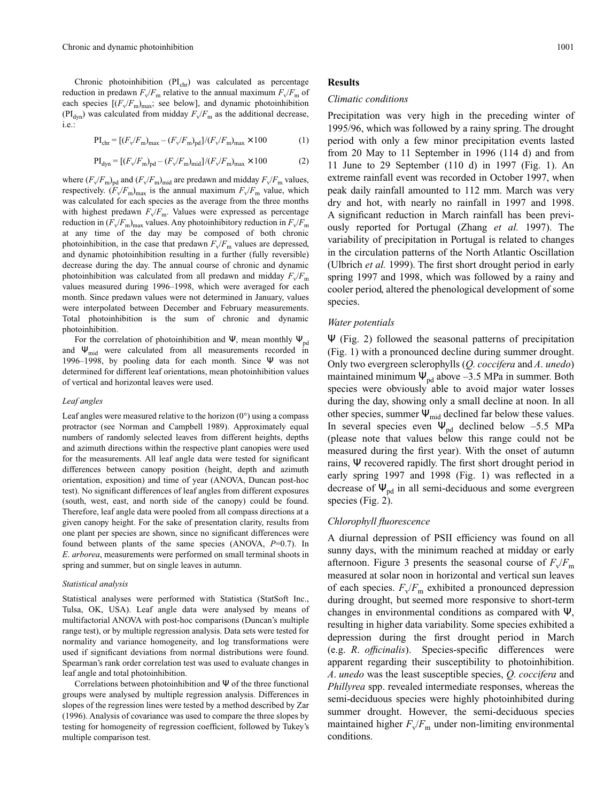Chronic photoinhibition  $(PI_{chr})$  was calculated as percentage reduction in predawn  $F_v/F_m$  relative to the annual maximum  $F_v/F_m$  of each species  $[(F_v/F_m)_{max}]$ ; see below], and dynamic photoinhibition (PI<sub>dyn</sub>) was calculated from midday  $F_v/F_m$  as the additional decrease, i.e.:

$$
PI_{\rm chr} = [(F_v/F_m)_{\rm max} - (F_v/F_m)_{\rm pd}]/(F_v/F_m)_{\rm max} \times 100
$$
 (1)

$$
PI_{dyn} = [(F_v/F_m)_{pd} - (F_v/F_m)_{mid}]/(F_v/F_m)_{max} \times 100
$$
 (2)

where  $(F_v/F_m)_{\text{nd}}$  and  $(F_v/F_m)_{\text{mid}}$  are predawn and midday  $F_v/F_m$  values, respectively.  $(F_v/F_m)_{max}$  is the annual maximum  $F_v/F_m$  value, which was calculated for each species as the average from the three months with highest predawn  $F_v/F_m$ . Values were expressed as percentage reduction in  $(F_v/F_m)_{max}$  values. Any photoinhibitory reduction in  $F_v/F_m$ at any time of the day may be composed of both chronic photoinhibition, in the case that predawn  $F_v/F_m$  values are depressed, and dynamic photoinhibition resulting in a further (fully reversible) decrease during the day. The annual course of chronic and dynamic photoinhibition was calculated from all predawn and midday  $F_v/F_m$ values measured during 1996–1998, which were averaged for each month. Since predawn values were not determined in January, values were interpolated between December and February measurements. Total photoinhibition is the sum of chronic and dynamic photoinhibition.

For the correlation of photoinhibition and Ψ, mean monthly  $\Psi_{\text{nd}}$ and  $\Psi_{mid}$  were calculated from all measurements recorded in 1996–1998, by pooling data for each month. Since Ψ was not determined for different leaf orientations, mean photoinhibition values of vertical and horizontal leaves were used.

#### *Leaf angles*

Leaf angles were measured relative to the horizon  $(0^{\circ})$  using a compass protractor (see Norman and Campbell 1989). Approximately equal numbers of randomly selected leaves from different heights, depths and azimuth directions within the respective plant canopies were used for the measurements. All leaf angle data were tested for significant differences between canopy position (height, depth and azimuth orientation, exposition) and time of year (ANOVA, Duncan post-hoc test). No significant differences of leaf angles from different exposures (south, west, east, and north side of the canopy) could be found. Therefore, leaf angle data were pooled from all compass directions at a given canopy height. For the sake of presentation clarity, results from one plant per species are shown, since no significant differences were found between plants of the same species (ANOVA, *P*=0.7). In *E*. *arborea*, measurements were performed on small terminal shoots in spring and summer, but on single leaves in autumn.

#### *Statistical analysis*

Statistical analyses were performed with Statistica (StatSoft Inc., Tulsa, OK, USA). Leaf angle data were analysed by means of multifactorial ANOVA with post-hoc comparisons (Duncan's multiple range test), or by multiple regression analysis. Data sets were tested for normality and variance homogeneity, and log transformations were used if significant deviations from normal distributions were found. Spearman's rank order correlation test was used to evaluate changes in leaf angle and total photoinhibition.

Correlations between photoinhibition and Ψ of the three functional groups were analysed by multiple regression analysis. Differences in slopes of the regression lines were tested by a method described by Zar (1996). Analysis of covariance was used to compare the three slopes by testing for homogeneity of regression coefficient, followed by Tukey's multiple comparison test.

#### **Results**

#### *Climatic conditions*

Precipitation was very high in the preceding winter of 1995/96, which was followed by a rainy spring. The drought period with only a few minor precipitation events lasted from 20 May to 11 September in 1996 (114 d) and from 11 June to 29 September (110 d) in 1997 (Fig. 1). An extreme rainfall event was recorded in October 1997, when peak daily rainfall amounted to 112 mm. March was very dry and hot, with nearly no rainfall in 1997 and 1998. A significant reduction in March rainfall has been previously reported for Portugal (Zhang *et al.* 1997). The variability of precipitation in Portugal is related to changes in the circulation patterns of the North Atlantic Oscillation (Ulbrich *et al.* 1999). The first short drought period in early spring 1997 and 1998, which was followed by a rainy and cooler period, altered the phenological development of some species.

#### *Water potentials*

Ψ (Fig. 2) followed the seasonal patterns of precipitation (Fig. 1) with a pronounced decline during summer drought. Only two evergreen sclerophylls (*Q*. *coccifera* and *A*. *unedo*) maintained minimum  $\Psi_{\text{pd}}$  above –3.5 MPa in summer. Both species were obviously able to avoid major water losses during the day, showing only a small decline at noon. In all other species, summer  $\Psi_{mid}$  declined far below these values. In several species even  $\Psi_{pd}$  declined below –5.5 MPa (please note that values below this range could not be measured during the first year). With the onset of autumn rains, Ψ recovered rapidly. The first short drought period in early spring 1997 and 1998 (Fig. 1) was reflected in a decrease of  $\Psi_{pd}$  in all semi-deciduous and some evergreen species (Fig. 2).

#### *Chlorophyll fluorescence*

A diurnal depression of PSII efficiency was found on all sunny days, with the minimum reached at midday or early afternoon. Figure 3 presents the seasonal course of  $F_v/F_m$ measured at solar noon in horizontal and vertical sun leaves of each species.  $F_v/F_m$  exhibited a pronounced depression during drought, but seemed more responsive to short-term changes in environmental conditions as compared with Ψ, resulting in higher data variability. Some species exhibited a depression during the first drought period in March (e.g. *R*. *officinalis*). Species-specific differences were apparent regarding their susceptibility to photoinhibition. *A*. *unedo* was the least susceptible species, *Q*. *coccifera* and *Phillyrea* spp. revealed intermediate responses, whereas the semi-deciduous species were highly photoinhibited during summer drought. However, the semi-deciduous species maintained higher  $F_v/F_m$  under non-limiting environmental conditions.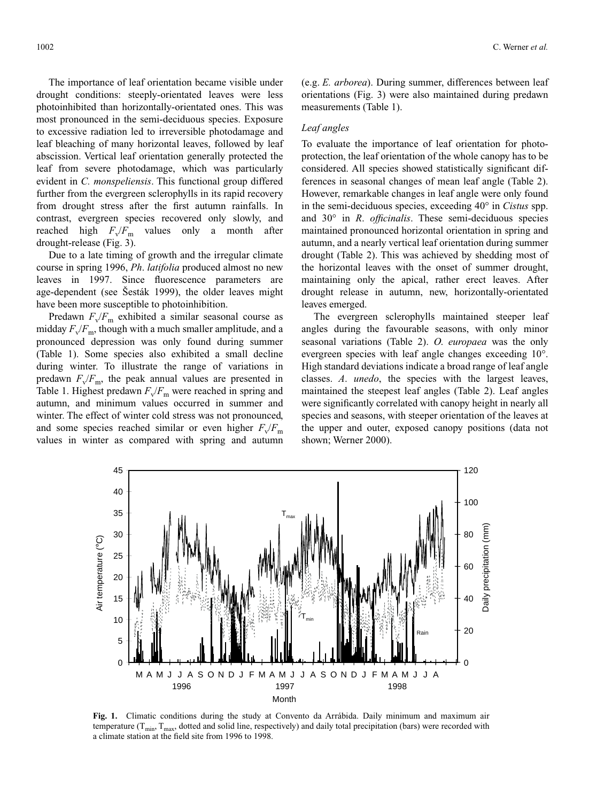The importance of leaf orientation became visible under drought conditions: steeply-orientated leaves were less photoinhibited than horizontally-orientated ones. This was most pronounced in the semi-deciduous species. Exposure to excessive radiation led to irreversible photodamage and leaf bleaching of many horizontal leaves, followed by leaf abscission. Vertical leaf orientation generally protected the leaf from severe photodamage, which was particularly evident in *C. monspeliensis*. This functional group differed further from the evergreen sclerophylls in its rapid recovery from drought stress after the first autumn rainfalls. In contrast, evergreen species recovered only slowly, and reached high  $F_v/F_m$  values only a month after drought-release (Fig. 3).

Due to a late timing of growth and the irregular climate course in spring 1996, *Ph*. *latifolia* produced almost no new leaves in 1997. Since fluorescence parameters are age-dependent (see Šesták 1999), the older leaves might have been more susceptible to photoinhibition.

Predawn  $F_v/F_m$  exhibited a similar seasonal course as midday  $F_v/F_m$ , though with a much smaller amplitude, and a pronounced depression was only found during summer (Table 1). Some species also exhibited a small decline during winter. To illustrate the range of variations in predawn  $F_v/F_m$ , the peak annual values are presented in Table 1. Highest predawn  $F_v/F_m$  were reached in spring and autumn, and minimum values occurred in summer and winter. The effect of winter cold stress was not pronounced, and some species reached similar or even higher  $F_v/F_m$ values in winter as compared with spring and autumn (e.g. *E. arborea*). During summer, differences between leaf orientations (Fig. 3) were also maintained during predawn measurements (Table 1).

#### *Leaf angles*

To evaluate the importance of leaf orientation for photoprotection, the leaf orientation of the whole canopy has to be considered. All species showed statistically significant differences in seasonal changes of mean leaf angle (Table 2). However, remarkable changes in leaf angle were only found in the semi-deciduous species, exceeding 40° in *Cistus* spp. and 30° in *R*. *officinalis*. These semi-deciduous species maintained pronounced horizontal orientation in spring and autumn, and a nearly vertical leaf orientation during summer drought (Table 2). This was achieved by shedding most of the horizontal leaves with the onset of summer drought, maintaining only the apical, rather erect leaves. After drought release in autumn, new, horizontally-orientated leaves emerged.

The evergreen sclerophylls maintained steeper leaf angles during the favourable seasons, with only minor seasonal variations (Table 2). *O*. *europaea* was the only evergreen species with leaf angle changes exceeding 10°. High standard deviations indicate a broad range of leaf angle classes. *A*. *unedo*, the species with the largest leaves, maintained the steepest leaf angles (Table 2). Leaf angles were significantly correlated with canopy height in nearly all species and seasons, with steeper orientation of the leaves at the upper and outer, exposed canopy positions (data not shown; Werner 2000).



**Fig. 1.** Climatic conditions during the study at Convento da Arrábida. Daily minimum and maximum air temperature  $(T_{min}, T_{max}$ , dotted and solid line, respectively) and daily total precipitation (bars) were recorded with a climate station at the field site from 1996 to 1998.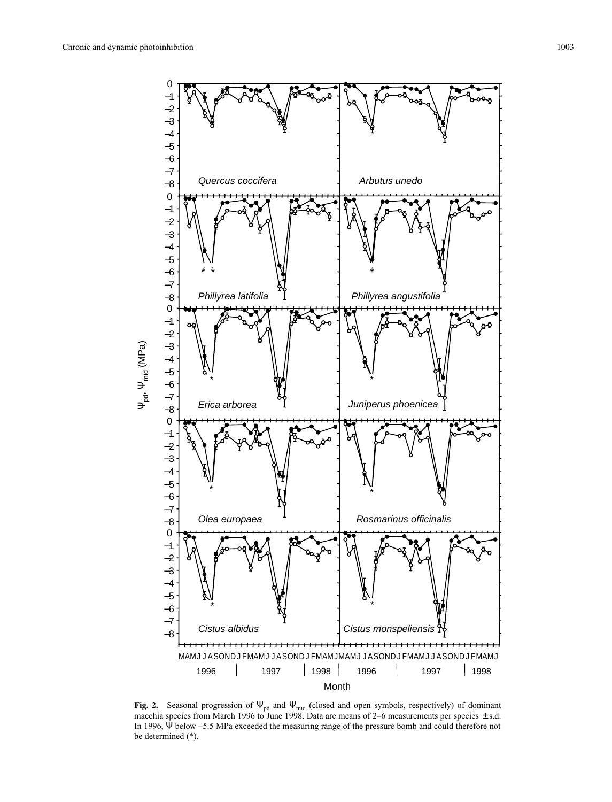

**Fig. 2.** Seasonal progression of  $\Psi_{pd}$  and  $\Psi_{mid}$  (closed and open symbols, respectively) of dominant macchia species from March 1996 to June 1998. Data are means of  $2-6$  measurements per species  $\pm$  s.d. In 1996, Ψ below –5.5 MPa exceeded the measuring range of the pressure bomb and could therefore not be determined (\*).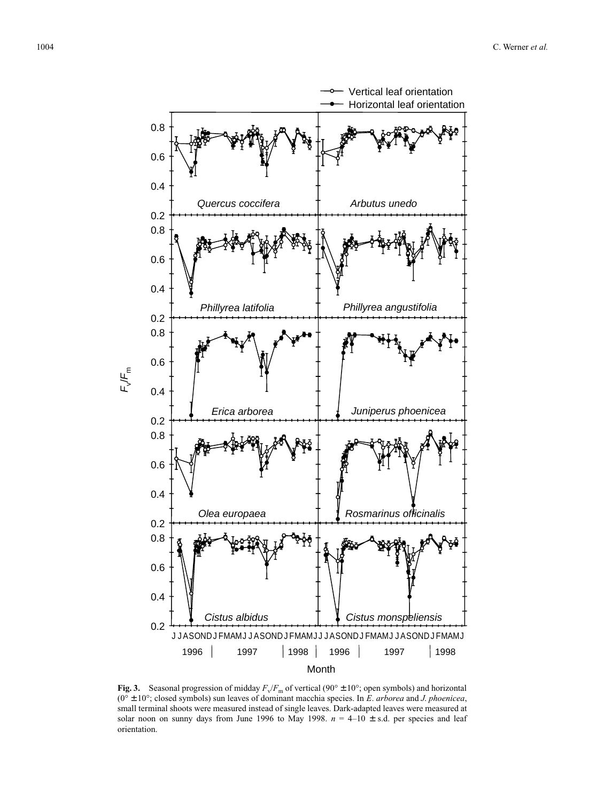

**Fig. 3.** Seasonal progression of midday  $F_v/F_m$  of vertical (90°  $\pm$  10°; open symbols) and horizontal (0° ± 10°; closed symbols) sun leaves of dominant macchia species. In *E*. *arborea* and *J*. *phoenicea*, small terminal shoots were measured instead of single leaves. Dark-adapted leaves were measured at solar noon on sunny days from June 1996 to May 1998.  $n = 4$ –10  $\pm$  s.d. per species and leaf orientation.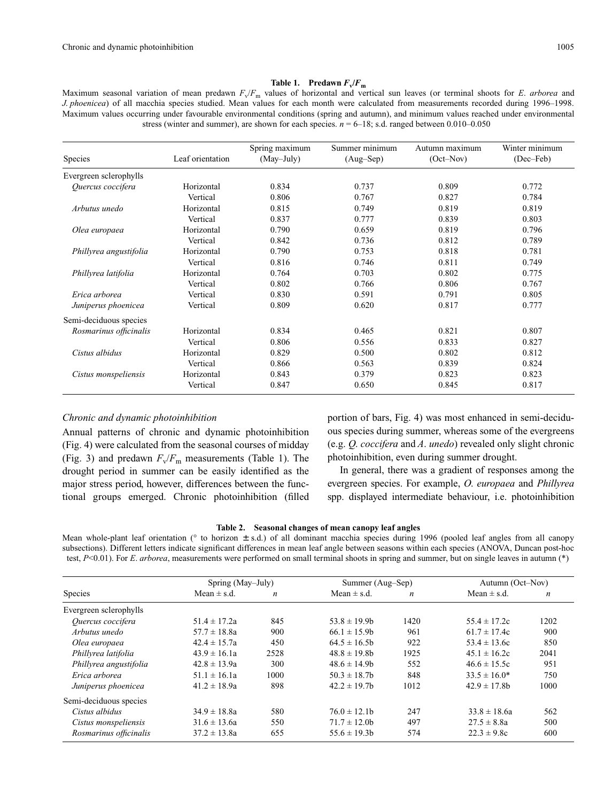#### **Table 1.** Predawn  $F_v/F_m$

Maximum seasonal variation of mean predawn *F*v/*F*m values of horizontal and vertical sun leaves (or terminal shoots for *E*. *arborea* and *J*. *phoenicea*) of all macchia species studied. Mean values for each month were calculated from measurements recorded during 1996–1998. Maximum values occurring under favourable environmental conditions (spring and autumn), and minimum values reached under environmental stress (winter and summer), are shown for each species.  $n = 6-18$ ; s.d. ranged between 0.010–0.050

|                        |                  | Spring maximum | Summer minimum | Autumn maximum | Winter minimum |
|------------------------|------------------|----------------|----------------|----------------|----------------|
| Species                | Leaf orientation | (May-July)     | (Aug–Sep)      | $(Oct-Nov)$    | (Dec–Feb)      |
| Evergreen sclerophylls |                  |                |                |                |                |
| Quercus coccifera      | Horizontal       | 0.834          | 0.737          | 0.809          | 0.772          |
|                        | Vertical         | 0.806          | 0.767          | 0.827          | 0.784          |
| Arbutus unedo          | Horizontal       | 0.815          | 0.749          | 0.819          | 0.819          |
|                        | Vertical         | 0.837          | 0.777          | 0.839          | 0.803          |
| Olea europaea          | Horizontal       | 0.790          | 0.659          | 0.819          | 0.796          |
|                        | Vertical         | 0.842          | 0.736          | 0.812          | 0.789          |
| Phillyrea angustifolia | Horizontal       | 0.790          | 0.753          | 0.818          | 0.781          |
|                        | Vertical         | 0.816          | 0.746          | 0.811          | 0.749          |
| Phillyrea latifolia    | Horizontal       | 0.764          | 0.703          | 0.802          | 0.775          |
|                        | Vertical         | 0.802          | 0.766          | 0.806          | 0.767          |
| Erica arborea          | Vertical         | 0.830          | 0.591          | 0.791          | 0.805          |
| Juniperus phoenicea    | Vertical         | 0.809          | 0.620          | 0.817          | 0.777          |
| Semi-deciduous species |                  |                |                |                |                |
| Rosmarinus officinalis | Horizontal       | 0.834          | 0.465          | 0.821          | 0.807          |
|                        | Vertical         | 0.806          | 0.556          | 0.833          | 0.827          |
| Cistus albidus         | Horizontal       | 0.829          | 0.500          | 0.802          | 0.812          |
|                        | Vertical         | 0.866          | 0.563          | 0.839          | 0.824          |
| Cistus monspeliensis   | Horizontal       | 0.843          | 0.379          | 0.823          | 0.823          |
|                        | Vertical         | 0.847          | 0.650          | 0.845          | 0.817          |

#### *Chronic and dynamic photoinhibition*

Annual patterns of chronic and dynamic photoinhibition (Fig. 4) were calculated from the seasonal courses of midday (Fig. 3) and predawn  $F_v/F_m$  measurements (Table 1). The drought period in summer can be easily identified as the major stress period, however, differences between the functional groups emerged. Chronic photoinhibition (filled portion of bars, Fig. 4) was most enhanced in semi-deciduous species during summer, whereas some of the evergreens (e.g. *Q*. *coccifera* and *A*. *unedo*) revealed only slight chronic photoinhibition, even during summer drought.

In general, there was a gradient of responses among the evergreen species. For example, *O*. *europaea* and *Phillyrea* spp. displayed intermediate behaviour, i.e. photoinhibition

#### **Table 2. Seasonal changes of mean canopy leaf angles**

Mean whole-plant leaf orientation ( $\degree$  to horizon  $\pm$  s.d.) of all dominant macchia species during 1996 (pooled leaf angles from all canopy subsections). Different letters indicate significant differences in mean leaf angle between seasons within each species (ANOVA, Duncan post-hoc test, *P*<0.01). For *E*. *arborea*, measurements were performed on small terminal shoots in spring and summer, but on single leaves in autumn (\*)

|                        | Spring (May-July) |                  | Summer (Aug–Sep)  |                  | Autumn (Oct–Nov)  |                  |
|------------------------|-------------------|------------------|-------------------|------------------|-------------------|------------------|
| Species                | Mean $\pm$ s.d.   | $\boldsymbol{n}$ | Mean $\pm$ s.d.   | $\boldsymbol{n}$ | Mean $\pm$ s.d.   | $\boldsymbol{n}$ |
| Evergreen sclerophylls |                   |                  |                   |                  |                   |                  |
| Quercus coccifera      | $51.4 \pm 17.2a$  | 845              | $53.8 \pm 19.9$ b | 1420             | $55.4 \pm 17.2c$  | 1202             |
| Arbutus unedo          | $57.7 \pm 18.8a$  | 900              | $66.1 \pm 15.9$ b | 961              | $61.7 \pm 17.4c$  | 900              |
| Olea europaea          | $42.4 \pm 15.7a$  | 450              | $64.5 \pm 16.5$ h | 922              | $53.4 \pm 13.6c$  | 850              |
| Phillyrea latifolia    | $43.9 \pm 16.1a$  | 2528             | $48.8 \pm 19.8b$  | 1925             | $45.1 \pm 16.2c$  | 2041             |
| Phillyrea angustifolia | $42.8 \pm 13.9a$  | 300              | $48.6 \pm 14.9$ b | 552              | $46.6 \pm 15.5c$  | 951              |
| Erica arborea          | $51.1 \pm 16.1a$  | 1000             | $50.3 \pm 18.7$ b | 848              | $33.5 \pm 16.0^*$ | 750              |
| Juniperus phoenicea    | $41.2 \pm 18.9a$  | 898              | $42.2 \pm 19.7$ h | 1012             | $42.9 \pm 17.8$ h | 1000             |
| Semi-deciduous species |                   |                  |                   |                  |                   |                  |
| Cistus albidus         | $34.9 \pm 18.8a$  | 580              | $76.0 \pm 12.1$ b | 247              | $33.8 \pm 18.6a$  | 562              |
| Cistus monspeliensis   | $31.6 \pm 13.6a$  | 550              | $71.7 \pm 12.0$ b | 497              | $27.5 \pm 8.8a$   | 500              |
| Rosmarinus officinalis | $37.2 \pm 13.8a$  | 655              | $55.6 \pm 19.3b$  | 574              | $22.3 \pm 9.8c$   | 600              |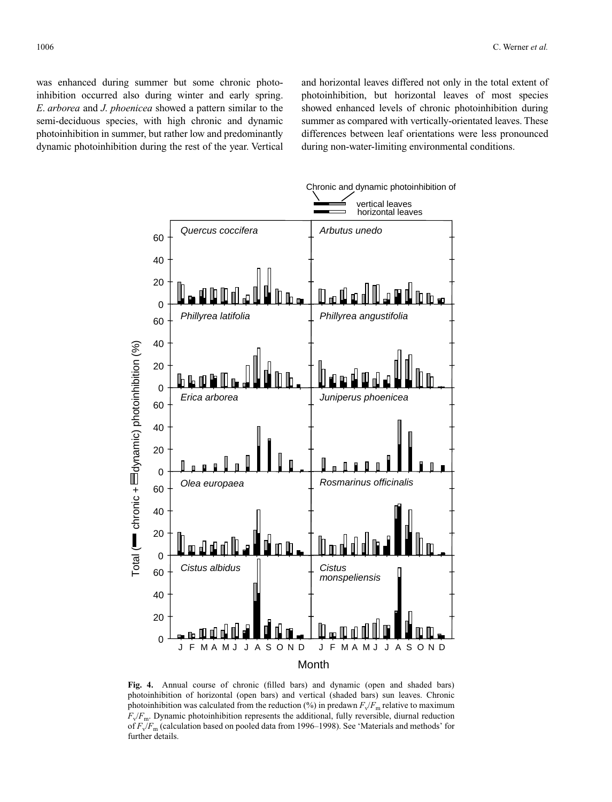was enhanced during summer but some chronic photoinhibition occurred also during winter and early spring. *E*. *arborea* and *J*. *phoenicea* showed a pattern similar to the semi-deciduous species, with high chronic and dynamic photoinhibition in summer, but rather low and predominantly dynamic photoinhibition during the rest of the year. Vertical and horizontal leaves differed not only in the total extent of photoinhibition, but horizontal leaves of most species showed enhanced levels of chronic photoinhibition during summer as compared with vertically-orientated leaves. These differences between leaf orientations were less pronounced during non-water-limiting environmental conditions.



**Fig. 4.** Annual course of chronic (filled bars) and dynamic (open and shaded bars) photoinhibition of horizontal (open bars) and vertical (shaded bars) sun leaves. Chronic photoinhibition was calculated from the reduction (%) in predawn  $F_v/F_m$  relative to maximum  $F_v/F_m$ . Dynamic photoinhibition represents the additional, fully reversible, diurnal reduction of  $F_v/F_m$  (calculation based on pooled data from 1996–1998). See 'Materials and methods' for further details.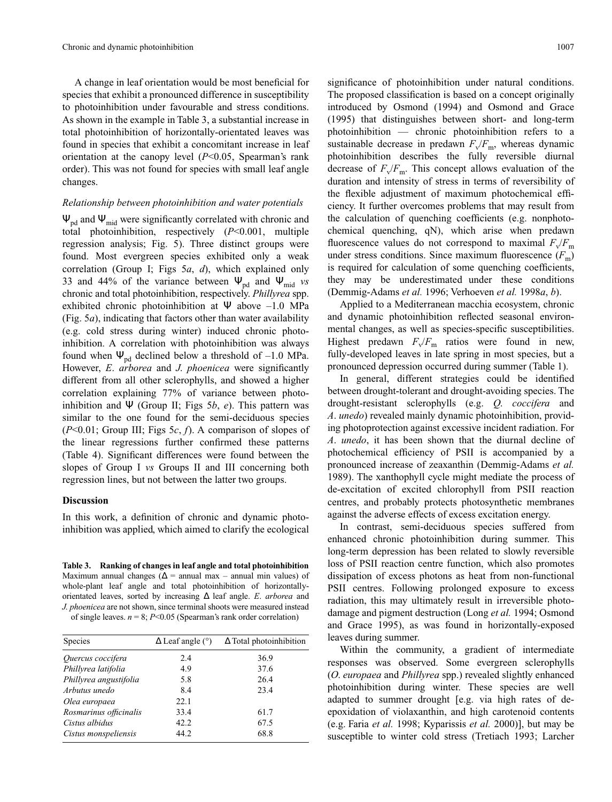A change in leaf orientation would be most beneficial for species that exhibit a pronounced difference in susceptibility to photoinhibition under favourable and stress conditions. As shown in the example in Table 3, a substantial increase in total photoinhibition of horizontally-orientated leaves was found in species that exhibit a concomitant increase in leaf orientation at the canopy level (*P*<0.05, Spearman's rank order). This was not found for species with small leaf angle changes.

#### *Relationship between photoinhibition and water potentials*

 $\Psi_{\rm pd}$  and  $\Psi_{\rm mid}$  were significantly correlated with chronic and total photoinhibition, respectively (*P*<0.001, multiple regression analysis; Fig. 5). Three distinct groups were found. Most evergreen species exhibited only a weak correlation (Group I; Figs 5*a*, *d*), which explained only 33 and 44% of the variance between  $\Psi_{\text{nd}}$  and  $\Psi_{\text{mid}}$  *vs* chronic and total photoinhibition, respectively. *Phillyrea* spp. exhibited chronic photoinhibition at Ψ above –1.0 MPa (Fig. 5*a*), indicating that factors other than water availability (e.g. cold stress during winter) induced chronic photoinhibition. A correlation with photoinhibition was always found when  $\Psi_{\text{nd}}$  declined below a threshold of –1.0 MPa. However, *E*. *arborea* and *J*. *phoenicea* were significantly different from all other sclerophylls, and showed a higher correlation explaining 77% of variance between photoinhibition and Ψ (Group II; Figs 5*b*, *e*). This pattern was similar to the one found for the semi-deciduous species (*P*<0.01; Group III; Figs 5*c*, *f*). A comparison of slopes of the linear regressions further confirmed these patterns (Table 4). Significant differences were found between the slopes of Group I *vs* Groups II and III concerning both regression lines, but not between the latter two groups.

#### **Discussion**

In this work, a definition of chronic and dynamic photoinhibition was applied, which aimed to clarify the ecological

**Table 3. Ranking of changes in leaf angle and total photoinhibition** Maximum annual changes ( $\Delta$  = annual max – annual min values) of whole-plant leaf angle and total photoinhibition of horizontallyorientated leaves, sorted by increasing ∆ leaf angle. *E*. *arborea* and *J*. *phoenicea* are not shown, since terminal shoots were measured instead of single leaves.  $n = 8$ ;  $P < 0.05$  (Spearman's rank order correlation)

| <b>Species</b>         | $\Delta$ Leaf angle ( $\degree$ ) | $\Delta$ Total photoinhibition |
|------------------------|-----------------------------------|--------------------------------|
| Quercus coccifera      | 2.4                               | 36.9                           |
| Phillyrea latifolia    | 4.9                               | 37.6                           |
| Phillyrea angustifolia | 5.8                               | 26.4                           |
| Arbutus unedo          | 8.4                               | 23.4                           |
| Olea europaea          | 22.1                              |                                |
| Rosmarinus officinalis | 33.4                              | 61.7                           |
| Cistus albidus         | 42.2                              | 67.5                           |
| Cistus monspeliensis   | 44.2                              | 68.8                           |

significance of photoinhibition under natural conditions. The proposed classification is based on a concept originally introduced by Osmond (1994) and Osmond and Grace (1995) that distinguishes between short- and long-term photoinhibition — chronic photoinhibition refers to a sustainable decrease in predawn  $F_v/F_m$ , whereas dynamic photoinhibition describes the fully reversible diurnal decrease of  $F_v/F_m$ . This concept allows evaluation of the duration and intensity of stress in terms of reversibility of the flexible adjustment of maximum photochemical efficiency. It further overcomes problems that may result from the calculation of quenching coefficients (e.g. nonphotochemical quenching, qN), which arise when predawn fluorescence values do not correspond to maximal  $F_v/F_m$ under stress conditions. Since maximum fluorescence  $(F_m)$ is required for calculation of some quenching coefficients, they may be underestimated under these conditions (Demmig-Adams *et al.* 1996; Verhoeven *et al.* 1998*a*, *b*).

Applied to a Mediterranean macchia ecosystem, chronic and dynamic photoinhibition reflected seasonal environmental changes, as well as species-specific susceptibilities. Highest predawn  $F_v/F_m$  ratios were found in new, fully-developed leaves in late spring in most species, but a pronounced depression occurred during summer (Table 1).

In general, different strategies could be identified between drought-tolerant and drought-avoiding species. The drought-resistant sclerophylls (e.g. *Q*. *coccifera* and *A*. *unedo*) revealed mainly dynamic photoinhibition, providing photoprotection against excessive incident radiation. For *A*. *unedo*, it has been shown that the diurnal decline of photochemical efficiency of PSII is accompanied by a pronounced increase of zeaxanthin (Demmig-Adams *et al.* 1989). The xanthophyll cycle might mediate the process of de-excitation of excited chlorophyll from PSII reaction centres, and probably protects photosynthetic membranes against the adverse effects of excess excitation energy.

In contrast, semi-deciduous species suffered from enhanced chronic photoinhibition during summer. This long-term depression has been related to slowly reversible loss of PSII reaction centre function, which also promotes dissipation of excess photons as heat from non-functional PSII centres. Following prolonged exposure to excess radiation, this may ultimately result in irreversible photodamage and pigment destruction (Long *et al.* 1994; Osmond and Grace 1995), as was found in horizontally-exposed leaves during summer.

Within the community, a gradient of intermediate responses was observed. Some evergreen sclerophylls (*O*. *europaea* and *Phillyrea* spp.) revealed slightly enhanced photoinhibition during winter. These species are well adapted to summer drought [e.g. via high rates of deepoxidation of violaxanthin, and high carotenoid contents (e.g. Faria *et al.* 1998; Kyparissis *et al.* 2000)], but may be susceptible to winter cold stress (Tretiach 1993; Larcher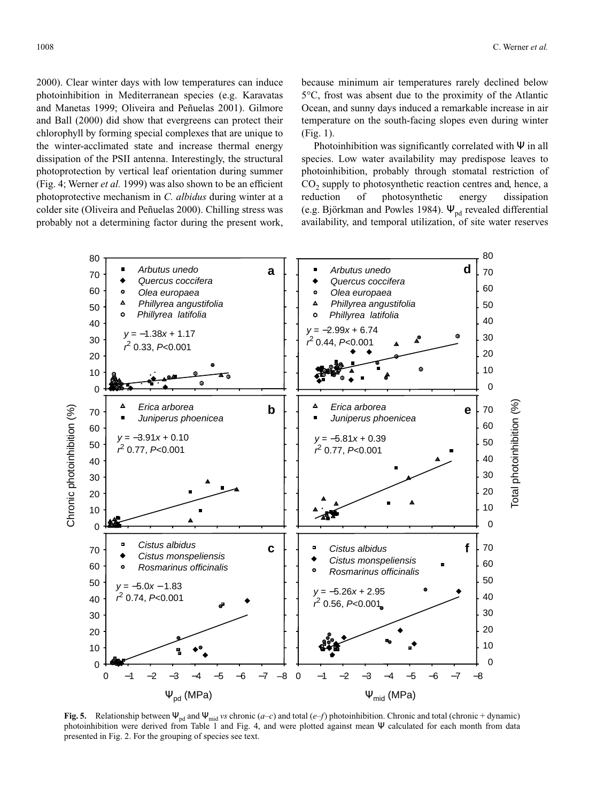2000). Clear winter days with low temperatures can induce photoinhibition in Mediterranean species (e.g. Karavatas and Manetas 1999; Oliveira and Peñuelas 2001). Gilmore and Ball (2000) did show that evergreens can protect their chlorophyll by forming special complexes that are unique to the winter-acclimated state and increase thermal energy dissipation of the PSII antenna. Interestingly, the structural photoprotection by vertical leaf orientation during summer (Fig. 4; Werner *et al.* 1999) was also shown to be an efficient photoprotective mechanism in *C. albidus* during winter at a colder site (Oliveira and Peñuelas 2000). Chilling stress was probably not a determining factor during the present work,

because minimum air temperatures rarely declined below 5°C, frost was absent due to the proximity of the Atlantic Ocean, and sunny days induced a remarkable increase in air temperature on the south-facing slopes even during winter (Fig. 1).

Photoinhibition was significantly correlated with  $\Psi$  in all species. Low water availability may predispose leaves to photoinhibition, probably through stomatal restriction of  $CO<sub>2</sub>$  supply to photosynthetic reaction centres and, hence, a reduction of photosynthetic energy dissipation (e.g. Björkman and Powles 1984).  $\Psi_{\text{nd}}$  revealed differential availability, and temporal utilization, of site water reserves



**Fig. 5.** Relationship between  $\Psi_{pd}$  and  $\Psi_{mid}$  *vs* chronic (*a–c*) and total (*e–f*) photoinhibition. Chronic and total (chronic + dynamic) photoinhibition were derived from Table 1 and Fig. 4, and were plotted against mean Ψ calculated for each month from data presented in Fig. 2. For the grouping of species see text.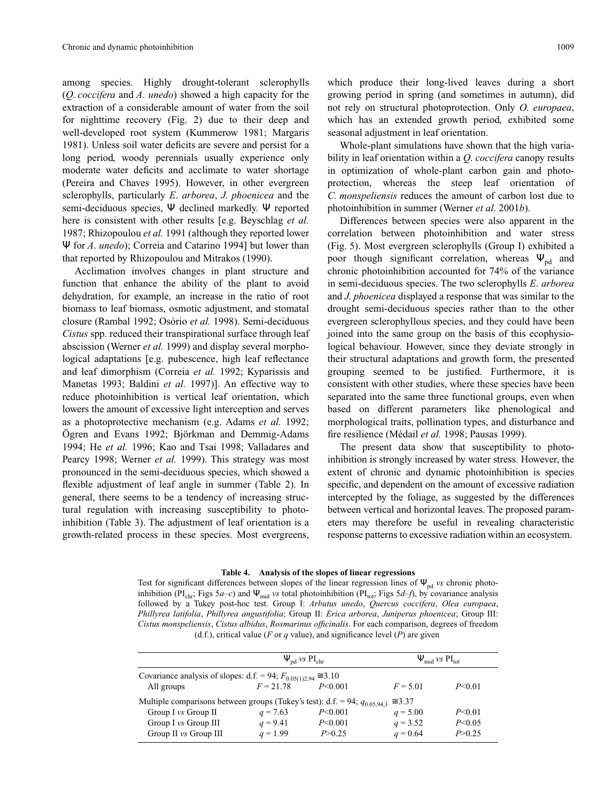among species. Highly drought-tolerant sclerophylls (*Q*. *coccifera* and *A*. *unedo*) showed a high capacity for the extraction of a considerable amount of water from the soil for nighttime recovery (Fig. 2) due to their deep and well-developed root system (Kummerow 1981; Margaris 1981). Unless soil water deficits are severe and persist for a long period, woody perennials usually experience only moderate water deficits and acclimate to water shortage (Pereira and Chaves 1995). However, in other evergreen sclerophylls, particularly *E*. *arborea*, *J*. *phoenicea* and the semi-deciduous species, Ψ declined markedly. Ψ reported here is consistent with other results [e.g. Beyschlag *et al.* 1987; Rhizopoulou *et al.* 1991 (although they reported lower Ψ for *A*. *unedo*); Correia and Catarino 1994] but lower than that reported by Rhizopoulou and Mitrakos (1990).

Acclimation involves changes in plant structure and function that enhance the ability of the plant to avoid dehydration, for example, an increase in the ratio of root biomass to leaf biomass, osmotic adjustment, and stomatal closure (Rambal 1992; Osório *et al.* 1998). Semi-deciduous *Cistus* spp. reduced their transpirational surface through leaf abscission (Werner *et al.* 1999) and display several morphological adaptations [e.g. pubescence, high leaf reflectance and leaf dimorphism (Correia *et al.* 1992; Kyparissis and Manetas 1993; Baldini *et al.* 1997)]. An effective way to reduce photoinhibition is vertical leaf orientation, which lowers the amount of excessive light interception and serves as a photoprotective mechanism (e.g. Adams *et al.* 1992; Ögren and Evans 1992; Björkman and Demmig-Adams 1994; He *et al.* 1996; Kao and Tsai 1998; Valladares and Pearcy 1998; Werner *et al.* 1999). This strategy was most pronounced in the semi-deciduous species, which showed a flexible adjustment of leaf angle in summer (Table 2). In general, there seems to be a tendency of increasing structural regulation with increasing susceptibility to photoinhibition (Table 3). The adjustment of leaf orientation is a growth-related process in these species. Most evergreens,

which produce their long-lived leaves during a short growing period in spring (and sometimes in autumn), did not rely on structural photoprotection. Only *O*. *europaea*, which has an extended growth period, exhibited some seasonal adjustment in leaf orientation.

Whole-plant simulations have shown that the high variability in leaf orientation within a *Q*. *coccifera* canopy results in optimization of whole-plant carbon gain and photoprotection, whereas the steep leaf orientation of *C. monspeliensis* reduces the amount of carbon lost due to photoinhibition in summer (Werner *et al.* 2001*b*).

Differences between species were also apparent in the correlation between photoinhibition and water stress (Fig. 5). Most evergreen sclerophylls (Group I) exhibited a poor though significant correlation, whereas  $\Psi_{\text{pd}}$  and chronic photoinhibition accounted for 74% of the variance in semi-deciduous species. The two sclerophylls *E*. *arborea* and *J*. *phoenicea* displayed a response that was similar to the drought semi-deciduous species rather than to the other evergreen sclerophyllous species, and they could have been joined into the same group on the basis of this ecophysiological behaviour. However, since they deviate strongly in their structural adaptations and growth form, the presented grouping seemed to be justified. Furthermore, it is consistent with other studies, where these species have been separated into the same three functional groups, even when based on different parameters like phenological and morphological traits, pollination types, and disturbance and fire resilience (Médail *et al.* 1998; Pausas 1999).

The present data show that susceptibility to photoinhibition is strongly increased by water stress. However, the extent of chronic and dynamic photoinhibition is species specific, and dependent on the amount of excessive radiation intercepted by the foliage, as suggested by the differences between vertical and horizontal leaves. The proposed parameters may therefore be useful in revealing characteristic response patterns to excessive radiation within an ecosystem.

#### **Table 4. Analysis of the slopes of linear regressions**

Test for significant differences between slopes of the linear regression lines of Ψ<sub>pd</sub> *vs* chronic photoinhibition (PI<sub>chr</sub>; Figs 5*a–c*) and  $\Psi_{mid}$  *vs* total photoinhibition (PI<sub>tot</sub>; Figs 5*d–f*), by covariance analysis followed by a Tukey post-hoc test. Group I: *Arbutus unedo*, *Quercus coccifera*, *Olea europaea*, *Phillyrea latifolia*, *Phillyrea angustifolia*; Group II: *Erica arborea*, *Juniperus phoenicea*; Group III: *Cistus monspeliensis*, *Cistus albidus*, *Rosmarinus officinalis*. For each comparison, degrees of freedom (d.f.), critical value (*F* or *q* value), and significance level (*P*) are given

|                                                                                             |             | $\Psi_{\rm nd}$ vs $\rm{PI_{chr}}$ |            | $\Psi_{mid}$ vs $PI_{tot}$ |  |
|---------------------------------------------------------------------------------------------|-------------|------------------------------------|------------|----------------------------|--|
| Covariance analysis of slopes: d.f. = 94; $F_{0.05(1)2.94} \approx 3.10$                    |             |                                    |            |                            |  |
| All groups                                                                                  | $F = 21.78$ | P<0.001                            | $F = 5.01$ | $P \le 0.01$               |  |
| Multiple comparisons between groups (Tukey's test): d.f. = 94; $q_{0.05,94,3} \approx 3.37$ |             |                                    |            |                            |  |
| Group I vs Group II                                                                         | $q = 7.63$  | P<0.001                            | $q = 5.00$ | P<0.01                     |  |
| Group I vs Group III                                                                        | $q = 9.41$  | P<0.001                            | $q = 3.52$ | P < 0.05                   |  |
| Group II vs Group III                                                                       | $q = 1.99$  | P > 0.25                           | $q = 0.64$ | P > 0.25                   |  |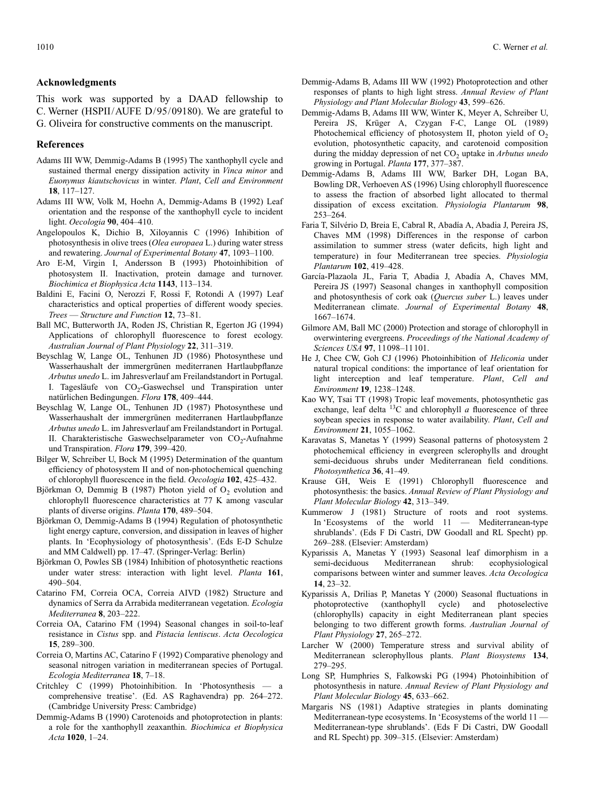#### **Acknowledgments**

This work was supported by a DAAD fellowship to C. Werner (HSPII/AUFE D/95/09180). We are grateful to G. Oliveira for constructive comments on the manuscript.

#### **References**

- Adams III WW, Demmig-Adams B (1995) The xanthophyll cycle and sustained thermal energy dissipation activity in *Vinca minor* and *Euonymus kiautschovicus* in winter. *Plant*, *Cell and Environment* **18**, 117–127.
- Adams III WW, Volk M, Hoehn A, Demmig-Adams B (1992) Leaf orientation and the response of the xanthophyll cycle to incident light. *Oecologia* **90**, 404–410.
- Angelopoulos K, Dichio B, Xiloyannis C (1996) Inhibition of photosynthesis in olive trees (*Olea europaea* L.) during water stress and rewatering. *Journal of Experimental Botany* **47**, 1093–1100.
- Aro E-M, Virgin I, Andersson B (1993) Photoinhibition of photosystem II. Inactivation, protein damage and turnover. *Biochimica et Biophysica Acta* **1143**, 113–134.
- Baldini E, Facini O, Nerozzi F, Rossi F, Rotondi A (1997) Leaf characteristics and optical properties of different woody species. *Trees* — *Structure and Function* **12**, 73–81.
- Ball MC, Butterworth JA, Roden JS, Christian R, Egerton JG (1994) Applications of chlorophyll fluorescence to forest ecology. *Australian Journal of Plant Physiology* **22**, 311–319.
- Beyschlag W, Lange OL, Tenhunen JD (1986) Photosynthese und Wasserhaushalt der immergrünen mediterranen Hartlaubpflanze *Arbutus unedo* L. im Jahresverlauf am Freilandstandort in Portugal. I. Tagesläufe von CO<sub>2</sub>-Gaswechsel und Transpiration unter natürlichen Bedingungen. *Flora* **178**, 409–444.
- Beyschlag W, Lange OL, Tenhunen JD (1987) Photosynthese und Wasserhaushalt der immergrünen mediterranen Hartlaubpflanze *Arbutus unedo* L. im Jahresverlauf am Freilandstandort in Portugal. II. Charakteristische Gaswechselparameter von CO<sub>2</sub>-Aufnahme und Transpiration. *Flora* **179**, 399–420.
- Bilger W, Schreiber U, Bock M (1995) Determination of the quantum efficiency of photosystem II and of non-photochemical quenching of chlorophyll fluorescence in the field. *Oecologia* **102**, 425–432.
- Björkman O, Demmig B (1987) Photon yield of  $O_2$  evolution and chlorophyll fluorescence characteristics at 77 K among vascular plants of diverse origins. *Planta* **170**, 489–504.
- Björkman O, Demmig-Adams B (1994) Regulation of photosynthetic light energy capture, conversion, and dissipation in leaves of higher plants. In 'Ecophysiology of photosynthesis'. (Eds E-D Schulze and MM Caldwell) pp. 17–47. (Springer-Verlag: Berlin)
- Björkman O, Powles SB (1984) Inhibition of photosynthetic reactions under water stress: interaction with light level. *Planta* **161**, 490–504.
- Catarino FM, Correia OCA, Correia AIVD (1982) Structure and dynamics of Serra da Arrabida mediterranean vegetation. *Ecologia Mediterranea* **8**, 203–222.
- Correia OA, Catarino FM (1994) Seasonal changes in soil-to-leaf resistance in *Cistus* spp. and *Pistacia lentiscus*. *Acta Oecologica* **15**, 289–300.
- Correia O, Martins AC, Catarino F (1992) Comparative phenology and seasonal nitrogen variation in mediterranean species of Portugal. *Ecologia Mediterranea* **18**, 7–18.
- Critchley C (1999) Photoinhibition. In 'Photosynthesis a comprehensive treatise'. (Ed. AS Raghavendra) pp. 264–272. (Cambridge University Press: Cambridge)
- Demmig-Adams B (1990) Carotenoids and photoprotection in plants: a role for the xanthophyll zeaxanthin. *Biochimica et Biophysica Acta* **1020**, 1–24.
- Demmig-Adams B, Adams III WW (1992) Photoprotection and other responses of plants to high light stress. *Annual Review of Plant Physiology and Plant Molecular Biology* **43**, 599–626.
- Demmig-Adams B, Adams III WW, Winter K, Meyer A, Schreiber U, Pereira JS, Krüger A, Czygan F-C, Lange OL (1989) Photochemical efficiency of photosystem II, photon yield of  $O<sub>2</sub>$ evolution, photosynthetic capacity, and carotenoid composition during the midday depression of net CO<sub>2</sub> uptake in *Arbutus unedo* growing in Portugal. *Planta* **177**, 377–387.
- Demmig-Adams B, Adams III WW, Barker DH, Logan BA, Bowling DR, Verhoeven AS (1996) Using chlorophyll fluorescence to assess the fraction of absorbed light allocated to thermal dissipation of excess excitation. *Physiologia Plantarum* **98**, 253–264.
- Faria T, Silvério D, Breia E, Cabral R, Abadía A, Abadia J, Pereira JS, Chaves MM (1998) Differences in the response of carbon assimilation to summer stress (water deficits, high light and temperature) in four Mediterranean tree species. *Physiologia Plantarum* **102**, 419–428.
- García-Plazaola JL, Faria T, Abadia J, Abadía A, Chaves MM, Pereira JS (1997) Seasonal changes in xanthophyll composition and photosynthesis of cork oak (*Quercus suber* L.) leaves under Mediterranean climate. *Journal of Experimental Botany* **48**, 1667–1674.
- Gilmore AM, Ball MC (2000) Protection and storage of chlorophyll in overwintering evergreens. *Proceedings of the National Academy of Sciences USA* **97**, 11098–11101.
- He J, Chee CW, Goh CJ (1996) Photoinhibition of *Heliconia* under natural tropical conditions: the importance of leaf orientation for light interception and leaf temperature. *Plant*, *Cell and Environment* **19**, 1238–1248.
- Kao WY, Tsai TT (1998) Tropic leaf movements, photosynthetic gas exchange, leaf delta 13C and chlorophyll *a* fluorescence of three soybean species in response to water availability. *Plant*, *Cell and Environment* **21**, 1055–1062.
- Karavatas S, Manetas Y (1999) Seasonal patterns of photosystem 2 photochemical efficiency in evergreen sclerophylls and drought semi-deciduous shrubs under Mediterranean field conditions. *Photosynthetica* **36**, 41–49.
- Krause GH, Weis E (1991) Chlorophyll fluorescence and photosynthesis: the basics. *Annual Review of Plant Physiology and Plant Molecular Biology* **42**, 313–349.
- Kummerow J (1981) Structure of roots and root systems. In 'Ecosystems of the world 11 — Mediterranean-type shrublands'. (Eds F Di Castri, DW Goodall and RL Specht) pp. 269–288. (Elsevier: Amsterdam)
- Kyparissis A, Manetas Y (1993) Seasonal leaf dimorphism in a semi-deciduous Mediterranean shrub: ecophysiological comparisons between winter and summer leaves. *Acta Oecologica* **14**, 23–32.
- Kyparissis A, Drilias P, Manetas Y (2000) Seasonal fluctuations in photoprotective (xanthophyll cycle) and photoselective (chlorophylls) capacity in eight Mediterranean plant species belonging to two different growth forms. *Australian Journal of Plant Physiology* **27**, 265–272.
- Larcher W (2000) Temperature stress and survival ability of Mediterranean sclerophyllous plants. *Plant Biosystems* **134**, 279–295.
- Long SP, Humphries S, Falkowski PG (1994) Photoinhibition of photosynthesis in nature. *Annual Review of Plant Physiology and Plant Molecular Biology* **45**, 633–662.
- Margaris NS (1981) Adaptive strategies in plants dominating Mediterranean-type ecosystems. In 'Ecosystems of the world 11 -Mediterranean-type shrublands'. (Eds F Di Castri, DW Goodall and RL Specht) pp. 309–315. (Elsevier: Amsterdam)